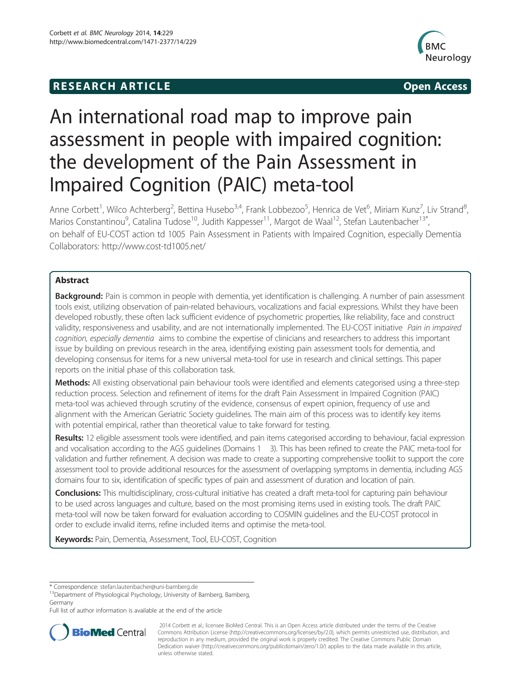## **RESEARCH ARTICLE Example 2008 CONSIDERING CONSIDERING CONSIDERING CONSIDERING CONSIDERING CONSIDERING CONSIDERING CONSIDERING CONSIDERING CONSIDERING CONSIDERING CONSIDERING CONSIDERING CONSIDERING CONSIDERING CONSIDE**



# An international road map to improve pain assessment in people with impaired cognition: the development of the Pain Assessment in Impaired Cognition (PAIC) meta-tool

Anne Corbett<sup>1</sup>, Wilco Achterberg<sup>2</sup>, Bettina Husebo<sup>3,4</sup>, Frank Lobbezoo<sup>5</sup>, Henrica de Vet<sup>6</sup>, Miriam Kunz<sup>7</sup>, Liv Strand<sup>8</sup> , Marios Constantinou<sup>9</sup>, Catalina Tudose<sup>10</sup>, Judith Kappesser<sup>11</sup>, Margot de Waal<sup>12</sup>, Stefan Lautenbacher<sup>13\*</sup>, on behalf of EU-COST action td 1005 Pain Assessment in Patients with Impaired Cognition, especially Dementia Collaborators:<http://www.cost-td1005.net/>

## Abstract

Background: Pain is common in people with dementia, yet identification is challenging. A number of pain assessment tools exist, utilizing observation of pain-related behaviours, vocalizations and facial expressions. Whilst they have been developed robustly, these often lack sufficient evidence of psychometric properties, like reliability, face and construct validity, responsiveness and usability, and are not internationally implemented. The EU-COST initiative Pain in impaired cognition, especially dementia aims to combine the expertise of clinicians and researchers to address this important issue by building on previous research in the area, identifying existing pain assessment tools for dementia, and developing consensus for items for a new universal meta-tool for use in research and clinical settings. This paper reports on the initial phase of this collaboration task.

Methods: All existing observational pain behaviour tools were identified and elements categorised using a three-step reduction process. Selection and refinement of items for the draft Pain Assessment in Impaired Cognition (PAIC) meta-tool was achieved through scrutiny of the evidence, consensus of expert opinion, frequency of use and alignment with the American Geriatric Society guidelines. The main aim of this process was to identify key items with potential empirical, rather than theoretical value to take forward for testing.

Results: 12 eligible assessment tools were identified, and pain items categorised according to behaviour, facial expression and vocalisation according to the AGS guidelines (Domains 1 3). This has been refined to create the PAIC meta-tool for validation and further refinement. A decision was made to create a supporting comprehensive toolkit to support the core assessment tool to provide additional resources for the assessment of overlapping symptoms in dementia, including AGS domains four to six, identification of specific types of pain and assessment of duration and location of pain.

Conclusions: This multidisciplinary, cross-cultural initiative has created a draft meta-tool for capturing pain behaviour to be used across languages and culture, based on the most promising items used in existing tools. The draft PAIC meta-tool will now be taken forward for evaluation according to COSMIN guidelines and the EU-COST protocol in order to exclude invalid items, refine included items and optimise the meta-tool.

Keywords: Pain, Dementia, Assessment, Tool, EU-COST, Cognition

Full list of author information is available at the end of the article



<sup>? 2014</sup> Corbett et al.; licensee BioMed Central. This is an Open Access article distributed under the terms of the Creative Commons Attribution License [\(http://creativecommons.org/licenses/by/2.0\)](http://creativecommons.org/licenses/by/2.0), which permits unrestricted use, distribution, and reproduction in any medium, provided the original work is properly credited. The Creative Commons Public Domain Dedication waiver [\(http://creativecommons.org/publicdomain/zero/1.0/](http://creativecommons.org/publicdomain/zero/1.0/)) applies to the data made available in this article, unless otherwise stated.

<sup>\*</sup> Correspondence: [stefan.lautenbacher@uni-bamberg.de](mailto:stefan.lautenbacher@uni-bamberg.de) 13Department of Physiological Psychology, University of Bamberg, Bamberg, Germany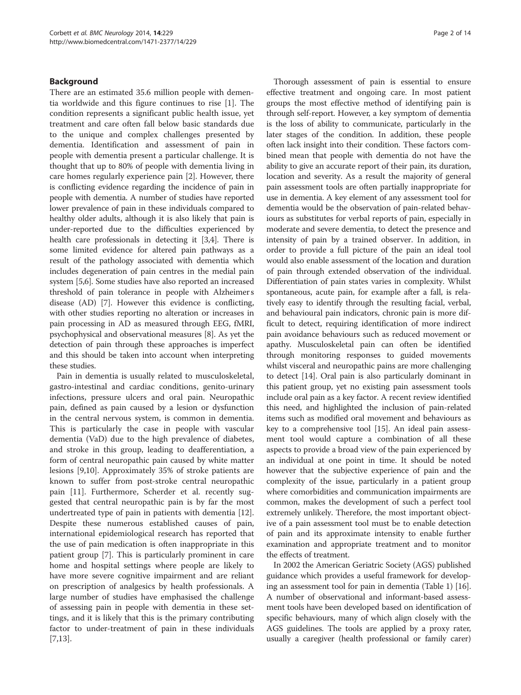## Background

There are an estimated 35.6 million people with dementia worldwide and this figure continues to rise [\[1](#page-12-0)]. The condition represents a significant public health issue, yet treatment and care often fall below basic standards due to the unique and complex challenges presented by dementia. Identification and assessment of pain in people with dementia present a particular challenge. It is thought that up to 80% of people with dementia living in care homes regularly experience pain [\[2](#page-12-0)]. However, there is conflicting evidence regarding the incidence of pain in people with dementia. A number of studies have reported lower prevalence of pain in these individuals compared to healthy older adults, although it is also likely that pain is under-reported due to the difficulties experienced by health care professionals in detecting it [\[3,4](#page-12-0)]. There is some limited evidence for altered pain pathways as a result of the pathology associated with dementia which includes degeneration of pain centres in the medial pain system [[5,6](#page-12-0)]. Some studies have also reported an increased threshold of pain tolerance in people with Alzheimers disease (AD) [\[7](#page-12-0)]. However this evidence is conflicting, with other studies reporting no alteration or increases in pain processing in AD as measured through EEG, fMRI, psychophysical and observational measures [[8](#page-12-0)]. As yet the detection of pain through these approaches is imperfect and this should be taken into account when interpreting these studies.

Pain in dementia is usually related to musculoskeletal, gastro-intestinal and cardiac conditions, genito-urinary infections, pressure ulcers and oral pain. Neuropathic pain, defined as pain caused by a lesion or dysfunction in the central nervous system, is common in dementia. This is particularly the case in people with vascular dementia (VaD) due to the high prevalence of diabetes, and stroke in this group, leading to deafferentiation, a form of central neuropathic pain caused by white matter lesions [\[9,10](#page-12-0)]. Approximately 35% of stroke patients are known to suffer from post-stroke central neuropathic pain [\[11](#page-12-0)]. Furthermore, Scherder et al. recently suggested that central neuropathic pain is by far the most undertreated type of pain in patients with dementia [\[12](#page-12-0)]. Despite these numerous established causes of pain, international epidemiological research has reported that the use of pain medication is often inappropriate in this patient group [[7](#page-12-0)]. This is particularly prominent in care home and hospital settings where people are likely to have more severe cognitive impairment and are reliant on prescription of analgesics by health professionals. A large number of studies have emphasised the challenge of assessing pain in people with dementia in these settings, and it is likely that this is the primary contributing factor to under-treatment of pain in these individuals [[7,13\]](#page-12-0).

Thorough assessment of pain is essential to ensure effective treatment and ongoing care. In most patient groups the most effective method of identifying pain is through self-report. However, a key symptom of dementia is the loss of ability to communicate, particularly in the later stages of the condition. In addition, these people often lack insight into their condition. These factors combined mean that people with dementia do not have the ability to give an accurate report of their pain, its duration, location and severity. As a result the majority of general pain assessment tools are often partially inappropriate for use in dementia. A key element of any assessment tool for dementia would be the observation of pain-related behaviours as substitutes for verbal reports of pain, especially in moderate and severe dementia, to detect the presence and intensity of pain by a trained observer. In addition, in order to provide a full picture of the pain an ideal tool would also enable assessment of the location and duration of pain through extended observation of the individual. Differentiation of pain states varies in complexity. Whilst spontaneous, acute pain, for example after a fall, is relatively easy to identify through the resulting facial, verbal, and behavioural pain indicators, chronic pain is more difficult to detect, requiring identification of more indirect pain avoidance behaviours such as reduced movement or apathy. Musculoskeletal pain can often be identified through monitoring responses to guided movements whilst visceral and neuropathic pains are more challenging to detect [\[14\]](#page-12-0). Oral pain is also particularly dominant in this patient group, yet no existing pain assessment tools include oral pain as a key factor. A recent review identified this need, and highlighted the inclusion of pain-related items such as modified oral movement and behaviours as key to a comprehensive tool [\[15\]](#page-12-0). An ideal pain assessment tool would capture a combination of all these aspects to provide a broad view of the pain experienced by an individual at one point in time. It should be noted however that the subjective experience of pain and the complexity of the issue, particularly in a patient group where comorbidities and communication impairments are common, makes the development of such a perfect tool extremely unlikely. Therefore, the most important objective of a pain assessment tool must be to enable detection of pain and its approximate intensity to enable further examination and appropriate treatment and to monitor the effects of treatment.

In 2002 the American Geriatric Society (AGS) published guidance which provides a useful framework for developing an assessment tool for pain in dementia (Table [1\)](#page-2-0) [[16](#page-12-0)]. A number of observational and informant-based assessment tools have been developed based on identification of specific behaviours, many of which align closely with the AGS guidelines. The tools are applied by a proxy rater, usually a caregiver (health professional or family carer)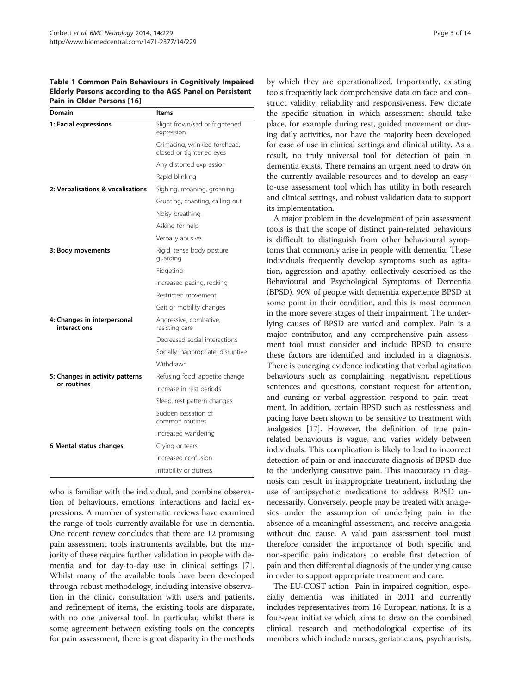<span id="page-2-0"></span>Table 1 Common Pain Behaviours in Cognitively Impaired Elderly Persons according to the AGS Panel on Persistent Pain in Older Persons [[16\]](#page-12-0)

| Domain                                      | ltems                                                     |  |  |  |  |  |  |
|---------------------------------------------|-----------------------------------------------------------|--|--|--|--|--|--|
| 1: Facial expressions                       | Slight frown/sad or frightened<br>expression              |  |  |  |  |  |  |
|                                             | Grimacing, wrinkled forehead,<br>closed or tightened eyes |  |  |  |  |  |  |
|                                             | Any distorted expression                                  |  |  |  |  |  |  |
|                                             | Rapid blinking                                            |  |  |  |  |  |  |
| 2: Verbalisations & vocalisations           | Sighing, moaning, groaning                                |  |  |  |  |  |  |
|                                             | Grunting, chanting, calling out                           |  |  |  |  |  |  |
|                                             | Noisy breathing                                           |  |  |  |  |  |  |
|                                             | Asking for help                                           |  |  |  |  |  |  |
|                                             | Verbally abusive                                          |  |  |  |  |  |  |
| 3: Body movements                           | Rigid, tense body posture,<br>quarding                    |  |  |  |  |  |  |
|                                             | Fidgeting                                                 |  |  |  |  |  |  |
|                                             | Increased pacing, rocking                                 |  |  |  |  |  |  |
|                                             | Restricted movement                                       |  |  |  |  |  |  |
|                                             | Gait or mobility changes                                  |  |  |  |  |  |  |
| 4: Changes in interpersonal<br>interactions | Aggressive, combative,<br>resisting care                  |  |  |  |  |  |  |
|                                             | Decreased social interactions                             |  |  |  |  |  |  |
|                                             | Socially inappropriate, disruptive                        |  |  |  |  |  |  |
|                                             | Withdrawn                                                 |  |  |  |  |  |  |
| 5: Changes in activity patterns             | Refusing food, appetite change                            |  |  |  |  |  |  |
| or routines                                 | Increase in rest periods                                  |  |  |  |  |  |  |
|                                             | Sleep, rest pattern changes                               |  |  |  |  |  |  |
|                                             | Sudden cessation of<br>common routines                    |  |  |  |  |  |  |
|                                             | Increased wandering                                       |  |  |  |  |  |  |
| 6 Mental status changes                     | Crying or tears                                           |  |  |  |  |  |  |
|                                             | Increased confusion                                       |  |  |  |  |  |  |
|                                             | Irritability or distress                                  |  |  |  |  |  |  |

who is familiar with the individual, and combine observation of behaviours, emotions, interactions and facial expressions. A number of systematic reviews have examined the range of tools currently available for use in dementia. One recent review concludes that there are 12 promising pain assessment tools instruments available, but the majority of these require further validation in people with dementia and for day-to-day use in clinical settings [[7](#page-12-0)]. Whilst many of the available tools have been developed through robust methodology, including intensive observation in the clinic, consultation with users and patients, and refinement of items, the existing tools are disparate, with no one universal tool. In particular, whilst there is some agreement between existing tools on the concepts for pain assessment, there is great disparity in the methods

by which they are operationalized. Importantly, existing tools frequently lack comprehensive data on face and construct validity, reliability and responsiveness. Few dictate the specific situation in which assessment should take place, for example during rest, guided movement or during daily activities, nor have the majority been developed for ease of use in clinical settings and clinical utility. As a result, no truly universal tool for detection of pain in dementia exists. There remains an urgent need to draw on the currently available resources and to develop an easyto-use assessment tool which has utility in both research and clinical settings, and robust validation data to support its implementation.

A major problem in the development of pain assessment tools is that the scope of distinct pain-related behaviours is difficult to distinguish from other behavioural symptoms that commonly arise in people with dementia. These individuals frequently develop symptoms such as agitation, aggression and apathy, collectively described as the Behavioural and Psychological Symptoms of Dementia (BPSD). 90% of people with dementia experience BPSD at some point in their condition, and this is most common in the more severe stages of their impairment. The underlying causes of BPSD are varied and complex. Pain is a major contributor, and any comprehensive pain assessment tool must consider and include BPSD to ensure these factors are identified and included in a diagnosis. There is emerging evidence indicating that verbal agitation behaviours such as complaining, negativism, repetitious sentences and questions, constant request for attention, and cursing or verbal aggression respond to pain treatment. In addition, certain BPSD such as restlessness and pacing have been shown to be sensitive to treatment with analgesics [\[17](#page-12-0)]. However, the definition of true painrelated behaviours is vague, and varies widely between individuals. This complication is likely to lead to incorrect detection of pain or and inaccurate diagnosis of BPSD due to the underlying causative pain. This inaccuracy in diagnosis can result in inappropriate treatment, including the use of antipsychotic medications to address BPSD unnecessarily. Conversely, people may be treated with analgesics under the assumption of underlying pain in the absence of a meaningful assessment, and receive analgesia without due cause. A valid pain assessment tool must therefore consider the importance of both specific and non-specific pain indicators to enable first detection of pain and then differential diagnosis of the underlying cause in order to support appropriate treatment and care.

The EU-COST action Pain in impaired cognition, especially dementia was initiated in 2011 and currently includes representatives from 16 European nations. It is a four-year initiative which aims to draw on the combined clinical, research and methodological expertise of its members which include nurses, geriatricians, psychiatrists,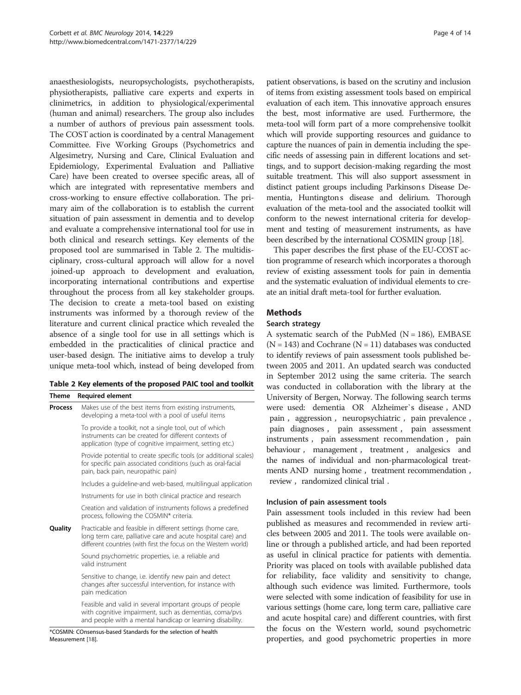anaesthesiologists, neuropsychologists, psychotherapists, physiotherapists, palliative care experts and experts in clinimetrics, in addition to physiological/experimental (human and animal) researchers. The group also includes a number of authors of previous pain assessment tools. The COST action is coordinated by a central Management Committee. Five Working Groups (Psychometrics and Algesimetry, Nursing and Care, Clinical Evaluation and Epidemiology, Experimental Evaluation and Palliative Care) have been created to oversee specific areas, all of which are integrated with representative members and cross-working to ensure effective collaboration. The primary aim of the collaboration is to establish the current situation of pain assessment in dementia and to develop and evaluate a comprehensive international tool for use in both clinical and research settings. Key elements of the proposed tool are summarised in Table 2. The multidisciplinary, cross-cultural approach will allow for a novel joined-up approach to development and evaluation, incorporating international contributions and expertise throughout the process from all key stakeholder groups. The decision to create a meta-tool based on existing instruments was informed by a thorough review of the literature and current clinical practice which revealed the absence of a single tool for use in all settings which is embedded in the practicalities of clinical practice and user-based design. The initiative aims to develop a truly unique meta-tool which, instead of being developed from

## Table 2 Key elements of the proposed PAIC tool and toolkit

| Theme          | <b>Required element</b>                                                                                                                                                                       |
|----------------|-----------------------------------------------------------------------------------------------------------------------------------------------------------------------------------------------|
| <b>Process</b> | Makes use of the best items from existing instruments,<br>developing a meta-tool with a pool of useful items                                                                                  |
|                | To provide a toolkit, not a single tool, out of which<br>instruments can be created for different contexts of<br>application (type of cognitive impairment, setting etc.)                     |
|                | Provide potential to create specific tools (or additional scales)<br>for specific pain associated conditions (such as oral-facial<br>pain, back pain, neuropathic pain)                       |
|                | Includes a quideline-and web-based, multilingual application                                                                                                                                  |
|                | Instruments for use in both clinical practice and research                                                                                                                                    |
|                | Creation and validation of instruments follows a predefined<br>process, following the COSMIN* criteria.                                                                                       |
| Quality        | Practicable and feasible in different settings (home care,<br>long term care, palliative care and acute hospital care) and<br>different countries (with first the focus on the Western world) |
|                | Sound psychometric properties, i.e. a reliable and<br>valid instrument                                                                                                                        |
|                | Sensitive to change, i.e. identify new pain and detect<br>changes after successful intervention, for instance with<br>pain medication                                                         |
|                | Feasible and valid in several important groups of people<br>with cognitive impairment, such as dementias, coma/pvs<br>and people with a mental handicap or learning disability.               |

\*COSMIN: COnsensus-based Standards for the selection of health Measurement [\[18](#page-12-0)].

patient observations, is based on the scrutiny and inclusion of items from existing assessment tools based on empirical evaluation of each item. This innovative approach ensures the best, most informative are used. Furthermore, the meta-tool will form part of a more comprehensive toolkit which will provide supporting resources and guidance to capture the nuances of pain in dementia including the specific needs of assessing pain in different locations and settings, and to support decision-making regarding the most suitable treatment. This will also support assessment in distinct patient groups including Parkinsons Disease Dementia, Huntingtons disease and delirium. Thorough evaluation of the meta-tool and the associated toolkit will conform to the newest international criteria for development and testing of measurement instruments, as have been described by the international COSMIN group [[18](#page-12-0)].

This paper describes the first phase of the EU-COST action programme of research which incorporates a thorough review of existing assessment tools for pain in dementia and the systematic evaluation of individual elements to create an initial draft meta-tool for further evaluation.

## **Methods**

## Search strategy

A systematic search of the PubMed  $(N = 186)$ , EMBASE  $(N = 143)$  and Cochrane  $(N = 11)$  databases was conducted to identify reviews of pain assessment tools published between 2005 and 2011. An updated search was conducted in September 2012 using the same criteria. The search was conducted in collaboration with the library at the University of Bergen, Norway. The following search terms were used: dementia OR Alzheimer`s disease , AND pain , aggression , neuropsychiatric , pain prevalence , pain diagnoses , pain assessment , pain assessment instruments , pain assessment recommendation , pain behaviour , management , treatment , analgesics and the names of individual and non-pharmacological treatments AND nursing home , treatment recommendation , review , randomized clinical trial .

#### Inclusion of pain assessment tools

Pain assessment tools included in this review had been published as measures and recommended in review articles between 2005 and 2011. The tools were available online or through a published article, and had been reported as useful in clinical practice for patients with dementia. Priority was placed on tools with available published data for reliability, face validity and sensitivity to change, although such evidence was limited. Furthermore, tools were selected with some indication of feasibility for use in various settings (home care, long term care, palliative care and acute hospital care) and different countries, with first the focus on the Western world, sound psychometric properties, and good psychometric properties in more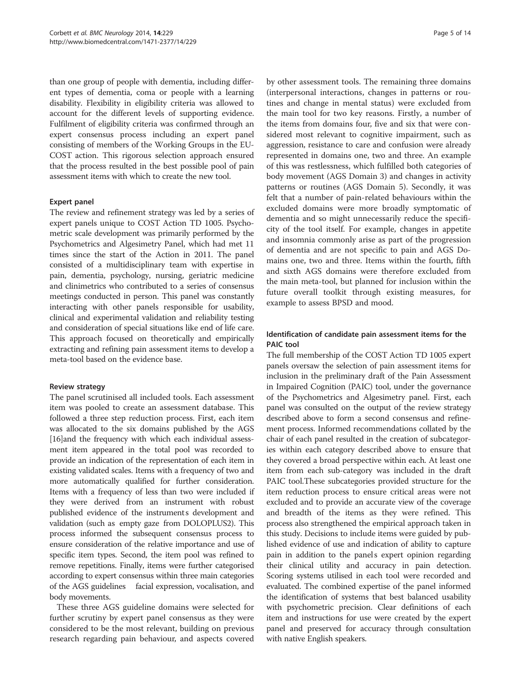than one group of people with dementia, including different types of dementia, coma or people with a learning disability. Flexibility in eligibility criteria was allowed to account for the different levels of supporting evidence. Fulfilment of eligibility criteria was confirmed through an expert consensus process including an expert panel consisting of members of the Working Groups in the EU-COST action. This rigorous selection approach ensured that the process resulted in the best possible pool of pain assessment items with which to create the new tool.

## Expert panel

The review and refinement strategy was led by a series of expert panels unique to COST Action TD 1005. Psychometric scale development was primarily performed by the Psychometrics and Algesimetry Panel, which had met 11 times since the start of the Action in 2011. The panel consisted of a multidisciplinary team with expertise in pain, dementia, psychology, nursing, geriatric medicine and clinimetrics who contributed to a series of consensus meetings conducted in person. This panel was constantly interacting with other panels responsible for usability, clinical and experimental validation and reliability testing and consideration of special situations like end of life care. This approach focused on theoretically and empirically extracting and refining pain assessment items to develop a meta-tool based on the evidence base.

#### Review strategy

The panel scrutinised all included tools. Each assessment item was pooled to create an assessment database. This followed a three step reduction process. First, each item was allocated to the six domains published by the AGS [[16](#page-12-0)]and the frequency with which each individual assessment item appeared in the total pool was recorded to provide an indication of the representation of each item in existing validated scales. Items with a frequency of two and more automatically qualified for further consideration. Items with a frequency of less than two were included if they were derived from an instrument with robust published evidence of the instruments development and validation (such as empty gaze from DOLOPLUS2). This process informed the subsequent consensus process to ensure consideration of the relative importance and use of specific item types. Second, the item pool was refined to remove repetitions. Finally, items were further categorised according to expert consensus within three main categories of the AGS guidelines facial expression, vocalisation, and body movements.

These three AGS guideline domains were selected for further scrutiny by expert panel consensus as they were considered to be the most relevant, building on previous research regarding pain behaviour, and aspects covered

by other assessment tools. The remaining three domains (interpersonal interactions, changes in patterns or routines and change in mental status) were excluded from the main tool for two key reasons. Firstly, a number of the items from domains four, five and six that were considered most relevant to cognitive impairment, such as aggression, resistance to care and confusion were already represented in domains one, two and three. An example of this was restlessness, which fulfilled both categories of body movement (AGS Domain 3) and changes in activity patterns or routines (AGS Domain 5). Secondly, it was felt that a number of pain-related behaviours within the excluded domains were more broadly symptomatic of dementia and so might unnecessarily reduce the specificity of the tool itself. For example, changes in appetite and insomnia commonly arise as part of the progression of dementia and are not specific to pain and AGS Domains one, two and three. Items within the fourth, fifth and sixth AGS domains were therefore excluded from the main meta-tool, but planned for inclusion within the future overall toolkit through existing measures, for example to assess BPSD and mood.

## Identification of candidate pain assessment items for the PAIC tool

The full membership of the COST Action TD 1005 expert panels oversaw the selection of pain assessment items for inclusion in the preliminary draft of the Pain Assessment in Impaired Cognition (PAIC) tool, under the governance of the Psychometrics and Algesimetry panel. First, each panel was consulted on the output of the review strategy described above to form a second consensus and refinement process. Informed recommendations collated by the chair of each panel resulted in the creation of subcategories within each category described above to ensure that they covered a broad perspective within each. At least one item from each sub-category was included in the draft PAIC tool.These subcategories provided structure for the item reduction process to ensure critical areas were not excluded and to provide an accurate view of the coverage and breadth of the items as they were refined. This process also strengthened the empirical approach taken in this study. Decisions to include items were guided by published evidence of use and indication of ability to capture pain in addition to the panels expert opinion regarding their clinical utility and accuracy in pain detection. Scoring systems utilised in each tool were recorded and evaluated. The combined expertise of the panel informed the identification of systems that best balanced usability with psychometric precision. Clear definitions of each item and instructions for use were created by the expert panel and preserved for accuracy through consultation with native English speakers.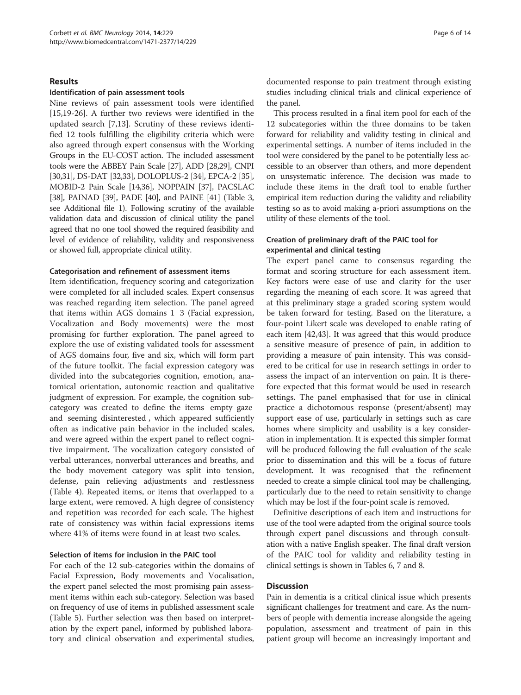## Results

#### Identification of pain assessment tools

Nine reviews of pain assessment tools were identified [[15,19-](#page-12-0)[26\]](#page-13-0). A further two reviews were identified in the updated search [\[7,13\]](#page-12-0). Scrutiny of these reviews identified 12 tools fulfilling the eligibility criteria which were also agreed through expert consensus with the Working Groups in the EU-COST action. The included assessment tools were the ABBEY Pain Scale [[27](#page-13-0)], ADD [\[28,29](#page-13-0)], CNPI [[30,31\]](#page-13-0), DS-DAT [[32,33\]](#page-13-0), DOLOPLUS-2 [\[34](#page-13-0)], EPCA-2 [\[35](#page-13-0)], MOBID-2 Pain Scale [\[14,](#page-12-0)[36](#page-13-0)], NOPPAIN [\[37](#page-13-0)], PACSLAC [[38](#page-13-0)], PAINAD [\[39\]](#page-13-0), PADE [\[40](#page-13-0)], and PAINE [\[41\]](#page-13-0) (Table [3](#page-6-0), see Additional file [1](#page-12-0)). Following scrutiny of the available validation data and discussion of clinical utility the panel agreed that no one tool showed the required feasibility and level of evidence of reliability, validity and responsiveness or showed full, appropriate clinical utility.

## Categorisation and refinement of assessment items

Item identification, frequency scoring and categorization were completed for all included scales. Expert consensus was reached regarding item selection. The panel agreed that items within AGS domains 1 3 (Facial expression, Vocalization and Body movements) were the most promising for further exploration. The panel agreed to explore the use of existing validated tools for assessment of AGS domains four, five and six, which will form part of the future toolkit. The facial expression category was divided into the subcategories cognition, emotion, anatomical orientation, autonomic reaction and qualitative judgment of expression. For example, the cognition subcategory was created to define the items empty gaze and seeming disinterested , which appeared sufficiently often as indicative pain behavior in the included scales, and were agreed within the expert panel to reflect cognitive impairment. The vocalization category consisted of verbal utterances, nonverbal utterances and breaths, and the body movement category was split into tension, defense, pain relieving adjustments and restlessness (Table [4\)](#page-7-0). Repeated items, or items that overlapped to a large extent, were removed. A high degree of consistency and repetition was recorded for each scale. The highest rate of consistency was within facial expressions items where 41% of items were found in at least two scales.

#### Selection of items for inclusion in the PAIC tool

For each of the 12 sub-categories within the domains of Facial Expression, Body movements and Vocalisation, the expert panel selected the most promising pain assessment items within each sub-category. Selection was based on frequency of use of items in published assessment scale (Table [5](#page-8-0)). Further selection was then based on interpretation by the expert panel, informed by published laboratory and clinical observation and experimental studies, documented response to pain treatment through existing studies including clinical trials and clinical experience of the panel.

This process resulted in a final item pool for each of the 12 subcategories within the three domains to be taken forward for reliability and validity testing in clinical and experimental settings. A number of items included in the tool were considered by the panel to be potentially less accessible to an observer than others, and more dependent on unsystematic inference. The decision was made to include these items in the draft tool to enable further empirical item reduction during the validity and reliability testing so as to avoid making a-priori assumptions on the utility of these elements of the tool.

## Creation of preliminary draft of the PAIC tool for experimental and clinical testing

The expert panel came to consensus regarding the format and scoring structure for each assessment item. Key factors were ease of use and clarity for the user regarding the meaning of each score. It was agreed that at this preliminary stage a graded scoring system would be taken forward for testing. Based on the literature, a four-point Likert scale was developed to enable rating of each item [\[42,43](#page-13-0)]. It was agreed that this would produce a sensitive measure of presence of pain, in addition to providing a measure of pain intensity. This was considered to be critical for use in research settings in order to assess the impact of an intervention on pain. It is therefore expected that this format would be used in research settings. The panel emphasised that for use in clinical practice a dichotomous response (present/absent) may support ease of use, particularly in settings such as care homes where simplicity and usability is a key consideration in implementation. It is expected this simpler format will be produced following the full evaluation of the scale prior to dissemination and this will be a focus of future development. It was recognised that the refinement needed to create a simple clinical tool may be challenging, particularly due to the need to retain sensitivity to change which may be lost if the four-point scale is removed.

Definitive descriptions of each item and instructions for use of the tool were adapted from the original source tools through expert panel discussions and through consultation with a native English speaker. The final draft version of the PAIC tool for validity and reliability testing in clinical settings is shown in Tables [6](#page-9-0), [7](#page-10-0) and [8.](#page-10-0)

### **Discussion**

Pain in dementia is a critical clinical issue which presents significant challenges for treatment and care. As the numbers of people with dementia increase alongside the ageing population, assessment and treatment of pain in this patient group will become an increasingly important and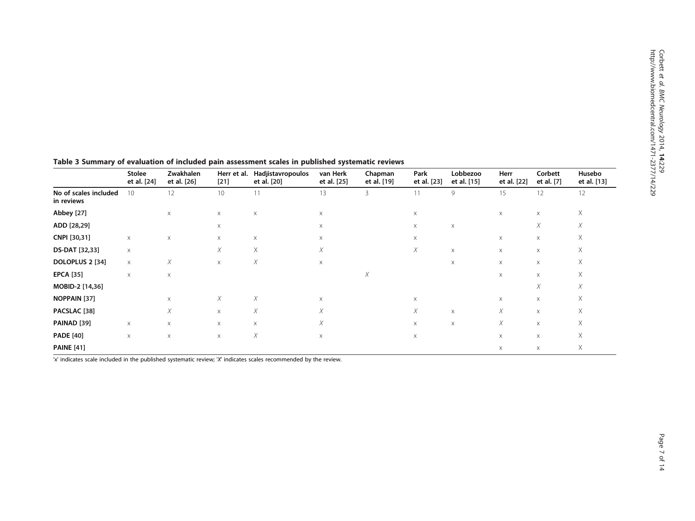<span id="page-6-0"></span>

|                                     | Stolee<br>et al. [24] | Zwakhalen<br>et al. [26] | Herr et al.<br>$[21]$ | Hadjistavropoulos<br>et al. [20] | van Herk<br>et al. [25] | Chapman<br>et al. [19] | Park<br>et al. [23] | Lobbezoo<br>et al. [15] | Herr<br>et al. [22] | Corbett<br>et al. [7] | Husebo<br>et al. [13] |
|-------------------------------------|-----------------------|--------------------------|-----------------------|----------------------------------|-------------------------|------------------------|---------------------|-------------------------|---------------------|-----------------------|-----------------------|
| No of scales included<br>in reviews | 10                    | 12                       | 10 <sup>°</sup>       | 11                               | 13                      | 3                      | 11                  | 9                       | 15                  | 12                    | 12                    |
| <b>Abbey</b> [27]                   |                       | X                        | $\times$              | $\mathsf X$                      | $\times$                |                        | X                   |                         | X                   | X                     | Χ                     |
| ADD [28,29]                         |                       |                          | X                     |                                  | X                       |                        | $\times$            | $\times$                |                     | X                     | Χ                     |
| CNPI [30,31]                        | $\times$              | $\times$                 | $\times$              | $\mathsf X$                      | $\times$                |                        | X                   |                         | X                   | X                     | Χ                     |
| DS-DAT [32,33]                      | $\times$              |                          | X                     | $\times$                         | X                       |                        | X                   | X                       | X                   | Χ                     | Χ                     |
| DOLOPLUS 2 [34]                     | $\times$              | X                        | $\times$              | X                                | X                       |                        |                     | X                       | X                   | $\mathsf X$           | Χ                     |
| <b>EPCA [35]</b>                    | $\times$              | $\times$                 |                       |                                  |                         | X                      |                     |                         | $\times$            | $\times$              | X                     |
| MOBID-2 [14,36]                     |                       |                          |                       |                                  |                         |                        |                     |                         |                     | X                     | Χ                     |
| NOPPAIN [37]                        |                       | X                        | X                     | $\chi$                           | X                       |                        | X                   |                         | X                   | Χ                     | Χ                     |

 $\bar{X}$ 

 $\mathsf{x}$ 

 $\mathsf X$ 

 $\mathsf X$ 

X

PACSLAC [[38](#page-13-0)]  $\begin{array}{ccccc} \chi & \chi & \chi & \chi \end{array}$ 

PAINE [[41](#page-13-0)]  $\qquad \qquad \times \qquad \qquad \times \qquad \qquad \times$ 

X

 $x$  x x

 $X$  x x x  $X$ 

**PAINAD [[39](#page-13-0)]**  $\times$   $\times$   $\times$   $\times$   $\times$ 

**PADE [[40](#page-13-0)]**  $\times$   $\times$   $\times$ 

'x' indicates scale included in the published systematic review; 'X' indicates scales recommended by the review.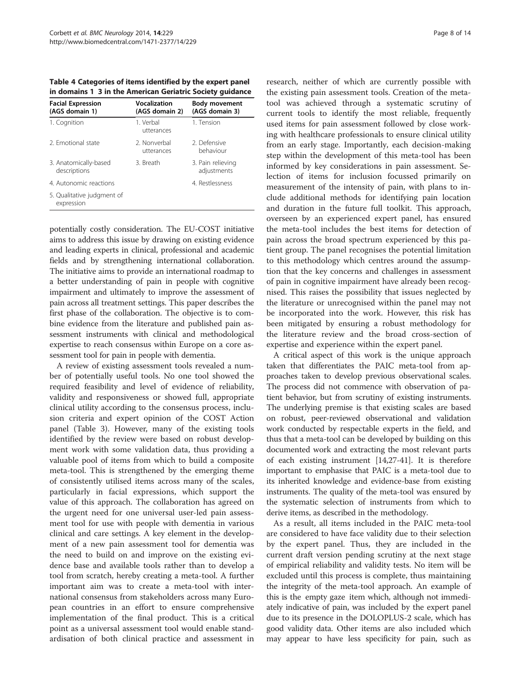<span id="page-7-0"></span>Table 4 Categories of items identified by the expert panel in domains 1 3 in the American Geriatric Society guidance

| <b>Facial Expression</b><br>(AGS domain 1) | Vocalization<br>(AGS domain 2) | <b>Body movement</b><br>(AGS domain 3) |
|--------------------------------------------|--------------------------------|----------------------------------------|
| 1. Cognition                               | 1. Verbal<br>utterances        | 1. Tension                             |
| 2. Emotional state                         | 2. Nonverbal<br>utterances     | 2. Defensive<br>behaviour              |
| 3. Anatomically-based<br>descriptions      | 3. Breath                      | 3. Pain relieving<br>adjustments       |
| 4 Autonomic reactions                      |                                | 4 Restlessness                         |
| 5. Qualitative judgment of<br>expression   |                                |                                        |

potentially costly consideration. The EU-COST initiative aims to address this issue by drawing on existing evidence and leading experts in clinical, professional and academic fields and by strengthening international collaboration. The initiative aims to provide an international roadmap to a better understanding of pain in people with cognitive impairment and ultimately to improve the assessment of pain across all treatment settings. This paper describes the first phase of the collaboration. The objective is to combine evidence from the literature and published pain assessment instruments with clinical and methodological expertise to reach consensus within Europe on a core assessment tool for pain in people with dementia.

A review of existing assessment tools revealed a number of potentially useful tools. No one tool showed the required feasibility and level of evidence of reliability, validity and responsiveness or showed full, appropriate clinical utility according to the consensus process, inclusion criteria and expert opinion of the COST Action panel (Table [3\)](#page-6-0). However, many of the existing tools identified by the review were based on robust development work with some validation data, thus providing a valuable pool of items from which to build a composite meta-tool. This is strengthened by the emerging theme of consistently utilised items across many of the scales, particularly in facial expressions, which support the value of this approach. The collaboration has agreed on the urgent need for one universal user-led pain assessment tool for use with people with dementia in various clinical and care settings. A key element in the development of a new pain assessment tool for dementia was the need to build on and improve on the existing evidence base and available tools rather than to develop a tool from scratch, hereby creating a meta-tool. A further important aim was to create a meta-tool with international consensus from stakeholders across many European countries in an effort to ensure comprehensive implementation of the final product. This is a critical point as a universal assessment tool would enable standardisation of both clinical practice and assessment in

research, neither of which are currently possible with the existing pain assessment tools. Creation of the metatool was achieved through a systematic scrutiny of current tools to identify the most reliable, frequently used items for pain assessment followed by close working with healthcare professionals to ensure clinical utility from an early stage. Importantly, each decision-making step within the development of this meta-tool has been informed by key considerations in pain assessment. Selection of items for inclusion focussed primarily on measurement of the intensity of pain, with plans to include additional methods for identifying pain location and duration in the future full toolkit. This approach, overseen by an experienced expert panel, has ensured the meta-tool includes the best items for detection of pain across the broad spectrum experienced by this patient group. The panel recognises the potential limitation to this methodology which centres around the assumption that the key concerns and challenges in assessment of pain in cognitive impairment have already been recognised. This raises the possibility that issues neglected by the literature or unrecognised within the panel may not be incorporated into the work. However, this risk has been mitigated by ensuring a robust methodology for the literature review and the broad cross-section of expertise and experience within the expert panel.

A critical aspect of this work is the unique approach taken that differentiates the PAIC meta-tool from approaches taken to develop previous observational scales. The process did not commence with observation of patient behavior, but from scrutiny of existing instruments. The underlying premise is that existing scales are based on robust, peer-reviewed observational and validation work conducted by respectable experts in the field, and thus that a meta-tool can be developed by building on this documented work and extracting the most relevant parts of each existing instrument [\[14](#page-12-0)[,27-41\]](#page-13-0). It is therefore important to emphasise that PAIC is a meta-tool due to its inherited knowledge and evidence-base from existing instruments. The quality of the meta-tool was ensured by the systematic selection of instruments from which to derive items, as described in the methodology.

As a result, all items included in the PAIC meta-tool are considered to have face validity due to their selection by the expert panel. Thus, they are included in the current draft version pending scrutiny at the next stage of empirical reliability and validity tests. No item will be excluded until this process is complete, thus maintaining the integrity of the meta-tool approach. An example of this is the empty gaze item which, although not immediately indicative of pain, was included by the expert panel due to its presence in the DOLOPLUS-2 scale, which has good validity data. Other items are also included which may appear to have less specificity for pain, such as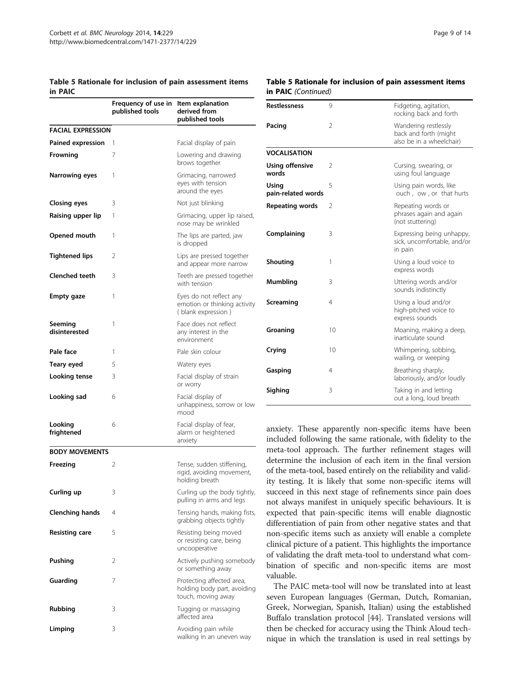#### <span id="page-8-0"></span>Table 5 Rationale for inclusion of pain assessment items in PAIC

#### Table 5 Rationale for inclusion of pain assessment items in PAIC (Continued)

|                          | Frequency of use in<br>published tools | Item explanation<br>derived from<br>published tools                            |
|--------------------------|----------------------------------------|--------------------------------------------------------------------------------|
| <b>FACIAL EXPRESSION</b> |                                        |                                                                                |
| Pained expression        | 1                                      | Facial display of pain                                                         |
| Frowning                 | 7                                      | Lowering and drawing<br>brows together                                         |
| <b>Narrowing eyes</b>    | 1                                      | Grimacing, narrowed<br>eyes with tension<br>around the eyes                    |
| <b>Closing eyes</b>      | 3                                      | Not just blinking                                                              |
| Raising upper lip        | 1                                      | Grimacing, upper lip raised,<br>nose may be wrinkled                           |
| Opened mouth             | 1                                      | The lips are parted, jaw<br>is dropped                                         |
| <b>Tightened lips</b>    | 2                                      | Lips are pressed together<br>and appear more narrow                            |
| Clenched teeth           | 3                                      | Teeth are pressed together<br>with tension                                     |
| <b>Empty gaze</b>        | 1                                      | Eyes do not reflect any<br>emotion or thinking activity<br>(blank expression)  |
| Seeming<br>disinterested | 1                                      | Face does not reflect<br>any interest in the<br>environment                    |
| Pale face                | 1                                      | Pale skin colour                                                               |
| Teary eyed               | 5                                      | Watery eyes                                                                    |
| Looking tense            | 3                                      | Facial display of strain<br>or worry                                           |
| Looking sad              | 6                                      | Facial display of<br>unhappiness, sorrow or low<br>mood                        |
| Looking<br>frightened    | 6                                      | Facial display of fear,<br>alarm or heightened<br>anxiety                      |
| <b>BODY MOVEMENTS</b>    |                                        |                                                                                |
| Freezing                 | 2                                      | Tense, sudden stiffening,<br>rigid, avoiding movement,<br>holding breath       |
| Curling up               | 3                                      | Curling up the body tightly,<br>pulling in arms and legs                       |
| <b>Clenching hands</b>   | $\overline{4}$                         | Tensing hands, making fists,<br>grabbing objects tightly                       |
| <b>Resisting care</b>    | 5                                      | Resisting being moved<br>or resisting care, being<br>uncooperative             |
| Pushing                  | 2                                      | Actively pushing somebody<br>or something away                                 |
| Guarding                 | 7                                      | Protecting affected area,<br>holding body part, avoiding<br>touch, moving away |
| Rubbing                  | 3                                      | Tugging or massaging<br>affected area                                          |
| Limping                  | 3                                      | Avoiding pain while<br>walking in an uneven way                                |

| <b>Restlessness</b>         | 9              | Fidgeting, agitation,<br>rocking back and forth                           |
|-----------------------------|----------------|---------------------------------------------------------------------------|
| Pacing                      | $\mathfrak{D}$ | Wandering restlessly<br>back and forth (might<br>also be in a wheelchair) |
| <b>VOCALISATION</b>         |                |                                                                           |
| Using offensive<br>words    | $\mathfrak{D}$ | Cursing, swearing, or<br>using foul language                              |
| Using<br>pain-related words | 5              | Using pain words, like<br>ouch, ow, or that hurts                         |
| <b>Repeating words</b>      | $\overline{2}$ | Repeating words or<br>phrases again and again<br>(not stuttering)         |
| Complaining                 | 3              | Expressing being unhappy,<br>sick, uncomfortable, and/or<br>in pain       |
| Shouting                    | 1              | Using a loud voice to<br>express words                                    |
| Mumbling                    | 3              | Uttering words and/or<br>sounds indistinctly                              |
| Screaming                   | $\overline{4}$ | Using a loud and/or<br>high-pitched voice to<br>express sounds            |
| Groaning                    | 10             | Moaning, making a deep,<br>inarticulate sound                             |
| Crying                      | 10             | Whimpering, sobbing,<br>wailing, or weeping                               |
| Gasping                     | $\overline{4}$ | Breathing sharply,<br>laboriously, and/or loudly                          |
| Sighing                     | 3              | Taking in and letting<br>out a long, loud breath                          |

anxiety. These apparently non-specific items have been included following the same rationale, with fidelity to the meta-tool approach. The further refinement stages will determine the inclusion of each item in the final version of the meta-tool, based entirely on the reliability and validity testing. It is likely that some non-specific items will succeed in this next stage of refinements since pain does not always manifest in uniquely specific behaviours. It is expected that pain-specific items will enable diagnostic differentiation of pain from other negative states and that non-specific items such as anxiety will enable a complete clinical picture of a patient. This highlights the importance of validating the draft meta-tool to understand what combination of specific and non-specific items are most valuable.

The PAIC meta-tool will now be translated into at least seven European languages (German, Dutch, Romanian, Greek, Norwegian, Spanish, Italian) using the established Buffalo translation protocol [\[44](#page-13-0)]. Translated versions will then be checked for accuracy using the Think Aloud technique in which the translation is used in real settings by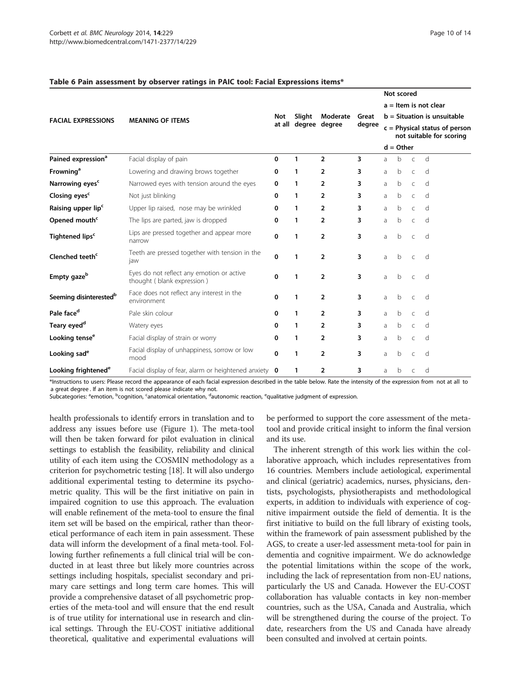|                                    | <b>MEANING OF ITEMS</b>                                                 |        | Slight<br>degree degree |                |        | Not scored                                                                                                              |             |              |   |  |  |
|------------------------------------|-------------------------------------------------------------------------|--------|-------------------------|----------------|--------|-------------------------------------------------------------------------------------------------------------------------|-------------|--------------|---|--|--|
|                                    |                                                                         |        |                         |                |        | $a =$ Item is not clear<br>$b =$ Situation is unsuitable<br>$c =$ Physical status of person<br>not suitable for scoring |             |              |   |  |  |
| <b>FACIAL EXPRESSIONS</b>          |                                                                         | Not    |                         | Moderate       | Great  |                                                                                                                         |             |              |   |  |  |
|                                    |                                                                         | at all |                         |                | degree |                                                                                                                         |             |              |   |  |  |
|                                    |                                                                         |        |                         |                |        |                                                                                                                         | $d =$ Other |              |   |  |  |
| Pained expression <sup>a</sup>     | Facial display of pain                                                  | 0      | 1                       | $\overline{2}$ | 3      | a                                                                                                                       | b           | $\mathsf{C}$ | d |  |  |
| <b>Frowning</b> <sup>a</sup>       | Lowering and drawing brows together                                     | 0      | 1                       | 2              | 3      | a                                                                                                                       | b           | $\subset$    | d |  |  |
| Narrowing eyes <sup>c</sup>        | Narrowed eyes with tension around the eyes                              | 0      | 1                       | $\overline{2}$ | 3      | a                                                                                                                       | b           | C            | d |  |  |
| Closing eyes <sup>c</sup>          | Not just blinking                                                       | 0      | 1                       | $\overline{2}$ | 3      | a                                                                                                                       | b           | C            | d |  |  |
| Raising upper lip <sup>c</sup>     | Upper lip raised, nose may be wrinkled                                  | 0      | 1                       | $\overline{2}$ | 3      | a                                                                                                                       | b           | $\mathsf{C}$ | d |  |  |
| Opened mouth <sup>c</sup>          | The lips are parted, jaw is dropped                                     | 0      | 1                       | 2              | 3      | a                                                                                                                       | b           | $\mathsf{C}$ | d |  |  |
| Tightened lips <sup>c</sup>        | Lips are pressed together and appear more<br>narrow                     | 0      | 1                       | $\overline{2}$ | 3      | a                                                                                                                       | b           | $\subset$    | d |  |  |
| Clenched teeth <sup>c</sup>        | Teeth are pressed together with tension in the<br>jaw                   | 0      | 1                       | $\overline{2}$ | 3      | a                                                                                                                       | b           | $\mathsf{C}$ | d |  |  |
| Empty gaze <sup>b</sup>            | Eyes do not reflect any emotion or active<br>thought (blank expression) | 0      | 1                       | $\overline{2}$ | 3      | a                                                                                                                       | $\mathbf b$ | $\mathsf{C}$ | d |  |  |
| Seeming disinterested <sup>b</sup> | Face does not reflect any interest in the<br>environment                | 0      | 1                       | $\overline{2}$ | 3      | a                                                                                                                       | b           | $\mathsf{C}$ | d |  |  |
| Pale face <sup>d</sup>             | Pale skin colour                                                        | 0      | 1                       | $\overline{2}$ | 3      | a                                                                                                                       | b           | C            | d |  |  |
| Teary eyed <sup>d</sup>            | Watery eyes                                                             | 0      | 1                       | $\overline{2}$ | 3      | a                                                                                                                       | b           | C            | d |  |  |
| Looking tense <sup>e</sup>         | Facial display of strain or worry                                       | 0      | 1                       | 2              | 3      | a                                                                                                                       | b           | $\mathsf{C}$ | d |  |  |
| Looking sad <sup>e</sup>           | Facial display of unhappiness, sorrow or low<br>mood                    | 0      | 1                       | 2              | 3      | a                                                                                                                       | b           | $\mathsf{C}$ | d |  |  |
| Looking frightened <sup>e</sup>    | Facial display of fear, alarm or heightened anxiety 0                   |        | 1                       | 2              | 3      | a                                                                                                                       | b           | $\subset$    | d |  |  |

#### <span id="page-9-0"></span>Table 6 Pain assessment by observer ratings in PAIC tool: Facial Expressions items\*

\*Instructions to users: Please record the appearance of each facial expression described in the table below. Rate the intensity of the expression from not at all to a great degree . If an item is not scored please indicate why not.

Subcategories: <sup>a</sup>emotion, <sup>b</sup>cognition, <sup>c</sup>anatomical orientation, <sup>d</sup>autonomic reaction, <sup>e</sup>qualitative judgment of expression.

health professionals to identify errors in translation and to address any issues before use (Figure [1\)](#page-11-0). The meta-tool will then be taken forward for pilot evaluation in clinical settings to establish the feasibility, reliability and clinical utility of each item using the COSMIN methodology as a criterion for psychometric testing [\[18\]](#page-12-0). It will also undergo additional experimental testing to determine its psychometric quality. This will be the first initiative on pain in impaired cognition to use this approach. The evaluation will enable refinement of the meta-tool to ensure the final item set will be based on the empirical, rather than theoretical performance of each item in pain assessment. These data will inform the development of a final meta-tool. Following further refinements a full clinical trial will be conducted in at least three but likely more countries across settings including hospitals, specialist secondary and primary care settings and long term care homes. This will provide a comprehensive dataset of all psychometric properties of the meta-tool and will ensure that the end result is of true utility for international use in research and clinical settings. Through the EU-COST initiative additional theoretical, qualitative and experimental evaluations will

be performed to support the core assessment of the metatool and provide critical insight to inform the final version and its use.

The inherent strength of this work lies within the collaborative approach, which includes representatives from 16 countries. Members include aetiological, experimental and clinical (geriatric) academics, nurses, physicians, dentists, psychologists, physiotherapists and methodological experts, in addition to individuals with experience of cognitive impairment outside the field of dementia. It is the first initiative to build on the full library of existing tools, within the framework of pain assessment published by the AGS, to create a user-led assessment meta-tool for pain in dementia and cognitive impairment. We do acknowledge the potential limitations within the scope of the work, including the lack of representation from non-EU nations, particularly the US and Canada. However the EU-COST collaboration has valuable contacts in key non-member countries, such as the USA, Canada and Australia, which will be strengthened during the course of the project. To date, researchers from the US and Canada have already been consulted and involved at certain points.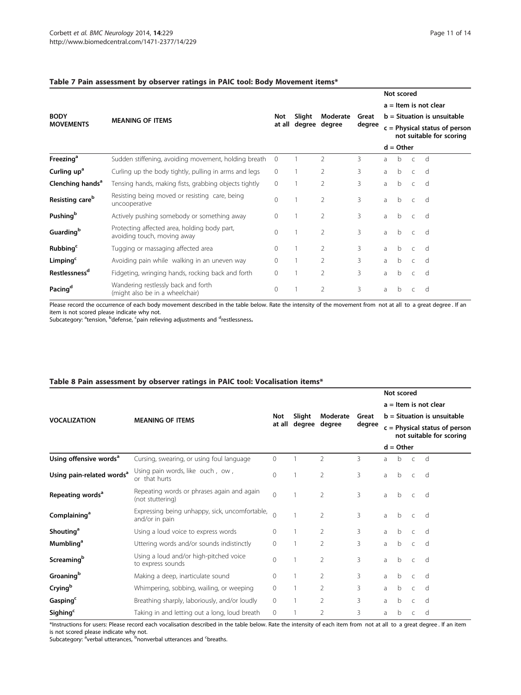|                                 |                                                                             |              |                  |                    |                 |                                                                                              | ivot scoreg             |               |   |  |  |
|---------------------------------|-----------------------------------------------------------------------------|--------------|------------------|--------------------|-----------------|----------------------------------------------------------------------------------------------|-------------------------|---------------|---|--|--|
|                                 | <b>MEANING OF ITEMS</b>                                                     |              | Slight<br>degree | Moderate<br>degree | Great<br>degree |                                                                                              | $a =$ Item is not clear |               |   |  |  |
| <b>BODY</b><br><b>MOVEMENTS</b> |                                                                             | Not          |                  |                    |                 | $b =$ Situation is unsuitable<br>$c =$ Physical status of person<br>not suitable for scoring |                         |               |   |  |  |
|                                 |                                                                             | at all       |                  |                    |                 |                                                                                              |                         |               |   |  |  |
|                                 |                                                                             |              |                  |                    |                 |                                                                                              | $d =$ Other             |               |   |  |  |
| Freezing <sup>a</sup>           | Sudden stiffening, avoiding movement, holding breath                        | $\mathbf{0}$ |                  | 2                  | 3               | a                                                                                            | b                       | $\mathsf{C}$  | d |  |  |
| Curling up <sup>a</sup>         | Curling up the body tightly, pulling in arms and legs                       | 0            |                  | $\overline{2}$     | 3               | a                                                                                            | b                       | C             | d |  |  |
| Clenching hands <sup>a</sup>    | Tensing hands, making fists, grabbing objects tightly                       | 0            |                  | $\overline{2}$     | 3               | a                                                                                            | b                       | $\mathcal{C}$ | d |  |  |
| Resisting care <sup>b</sup>     | Resisting being moved or resisting care, being<br>uncooperative             | $\Omega$     |                  | $\overline{2}$     | 3               | a                                                                                            | $\mathsf{h}$            | $\mathcal{C}$ | d |  |  |
| Pushing <sup>b</sup>            | Actively pushing somebody or something away                                 | 0            |                  | $\overline{2}$     | 3               | a.                                                                                           | $\mathsf{h}$            | $\mathsf{C}$  | d |  |  |
| Guarding <sup>b</sup>           | Protecting affected area, holding body part,<br>avoiding touch, moving away | $\Omega$     |                  | $\overline{2}$     | 3               | a                                                                                            | b                       | $\mathsf{C}$  | d |  |  |
| Rubbing <sup>c</sup>            | Tugging or massaging affected area                                          | 0            |                  | $\overline{2}$     | 3               | a                                                                                            | <sub>b</sub>            | $\subset$     | d |  |  |
| Limping <sup>c</sup>            | Avoiding pain while walking in an uneven way                                | 0            |                  | 2                  | 3               | a                                                                                            | <sub>b</sub>            | C             | d |  |  |
| Restlessness <sup>a</sup>       | Fidgeting, wringing hands, rocking back and forth                           | 0            |                  | $\overline{2}$     | 3               | a                                                                                            | b                       | $\mathsf{C}$  | d |  |  |
| Pacing <sup>d</sup>             | Wandering restlessly back and forth<br>(might also be in a wheelchair)      | 0            |                  | $\overline{2}$     | 3               | a                                                                                            | b                       | $\subset$     | d |  |  |

## <span id="page-10-0"></span>Table 7 Pain assessment by observer ratings in PAIC tool: Body Movement items\*

Please record the occurrence of each body movement described in the table below. Rate the intensity of the movement from not at all to a great degree . If an item is not scored please indicate why not.

Subcategory: <sup>a</sup>tension, <sup>b</sup>defense, <sup>c</sup>pain relieving adjustments and <sup>d</sup>restlessness.

|                                       | <b>MEANING OF ITEMS</b>                                          |              | Slight<br>degree | Moderate<br>degree |        | Not scored<br>$a =$ Item is not clear<br>$b =$ Situation is unsuitable<br>$c =$ Physical status of person<br>not suitable for scoring |             |              |              |  |
|---------------------------------------|------------------------------------------------------------------|--------------|------------------|--------------------|--------|---------------------------------------------------------------------------------------------------------------------------------------|-------------|--------------|--------------|--|
|                                       |                                                                  | Not          |                  |                    |        |                                                                                                                                       |             |              |              |  |
| <b>VOCALIZATION</b>                   |                                                                  |              |                  |                    | Great  |                                                                                                                                       |             |              |              |  |
|                                       |                                                                  | at all       |                  |                    | degree |                                                                                                                                       |             |              |              |  |
|                                       |                                                                  |              |                  |                    |        |                                                                                                                                       | $d =$ Other |              |              |  |
| Using offensive words <sup>a</sup>    | Cursing, swearing, or using foul language                        | 0            |                  | $\overline{2}$     | 3      | a                                                                                                                                     | b           | $\mathsf{C}$ | d            |  |
| Using pain-related words <sup>a</sup> | Using pain words, like ouch, ow,<br>or that hurts                | $\Omega$     | 1                | 2                  | 3      | a                                                                                                                                     | b           | $\subset$    | d            |  |
| Repeating words <sup>a</sup>          | Repeating words or phrases again and again<br>(not stuttering)   | $\Omega$     | 1                | $\overline{2}$     | 3      | a                                                                                                                                     | b           | $\mathsf{C}$ | d            |  |
| Complaining <sup>a</sup>              | Expressing being unhappy, sick, uncomfortable,<br>and/or in pain | $\cap$       |                  | $\overline{2}$     | 3      | a                                                                                                                                     | b           | C            | d            |  |
| <b>Shouting</b> <sup>a</sup>          | Using a loud voice to express words                              | $\Omega$     |                  | 2                  | 3      | a                                                                                                                                     | b.          | $\subset$    | d            |  |
| <b>Mumbling</b> <sup>a</sup>          | Uttering words and/or sounds indistinctly                        | $\mathbf{0}$ |                  | 2                  | 3      | a                                                                                                                                     | b           | C            | d            |  |
| Screaming <sup>b</sup>                | Using a loud and/or high-pitched voice<br>to express sounds      | 0            | 1                | 2                  | 3      | a                                                                                                                                     | b           | $\subset$    | d            |  |
| Groaning <sup>b</sup>                 | Making a deep, inarticulate sound                                | $\Omega$     |                  | $\overline{2}$     | 3      | a                                                                                                                                     | b.          | C            | <sub>d</sub> |  |
| Crying <sup>b</sup>                   | Whimpering, sobbing, wailing, or weeping                         | 0            |                  | 2                  | 3      | a                                                                                                                                     | b           | C            | d            |  |
| Gasping <sup>c</sup>                  | Breathing sharply, laboriously, and/or loudly                    | $\mathbf{0}$ | 1                | 2                  | 3      | a                                                                                                                                     | b           | C            | d            |  |
| Sighing <sup>c</sup>                  | Taking in and letting out a long, loud breath                    | $\mathbf{0}$ |                  | 2                  | 3      | a                                                                                                                                     | b.          | C            | d            |  |

#### Table 8 Pain assessment by observer ratings in PAIC tool: Vocalisation items\*

\*Instructions for users: Please record each vocalisation described in the table below. Rate the intensity of each item from not at all to a great degree . If an item is not scored please indicate why not.

Subcategory: <sup>a</sup>verbal utterances, <sup>b</sup>nonverbal utterances and <sup>c</sup>breaths.

Not scored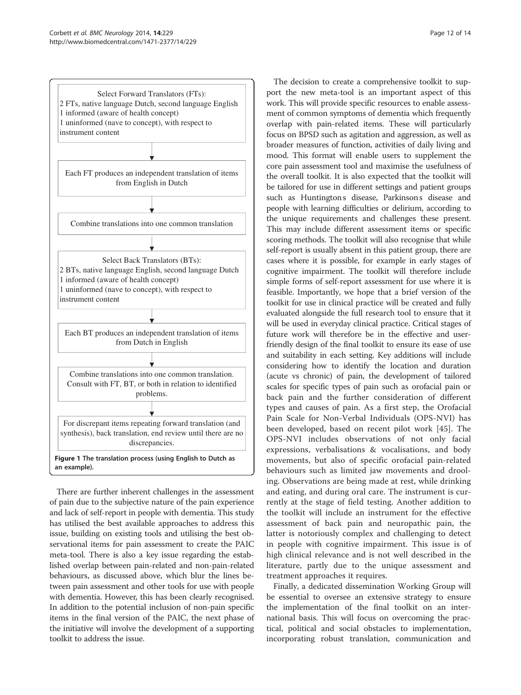<span id="page-11-0"></span>

There are further inherent challenges in the assessment of pain due to the subjective nature of the pain experience and lack of self-report in people with dementia. This study has utilised the best available approaches to address this issue, building on existing tools and utilising the best observational items for pain assessment to create the PAIC meta-tool. There is also a key issue regarding the established overlap between pain-related and non-pain-related behaviours, as discussed above, which blur the lines between pain assessment and other tools for use with people with dementia. However, this has been clearly recognised. In addition to the potential inclusion of non-pain specific items in the final version of the PAIC, the next phase of the initiative will involve the development of a supporting toolkit to address the issue.

The decision to create a comprehensive toolkit to support the new meta-tool is an important aspect of this work. This will provide specific resources to enable assessment of common symptoms of dementia which frequently overlap with pain-related items. These will particularly focus on BPSD such as agitation and aggression, as well as broader measures of function, activities of daily living and mood. This format will enable users to supplement the core pain assessment tool and maximise the usefulness of the overall toolkit. It is also expected that the toolkit will be tailored for use in different settings and patient groups such as Huntingtons disease, Parkinsons disease and people with learning difficulties or delirium, according to the unique requirements and challenges these present. This may include different assessment items or specific scoring methods. The toolkit will also recognise that while self-report is usually absent in this patient group, there are cases where it is possible, for example in early stages of cognitive impairment. The toolkit will therefore include simple forms of self-report assessment for use where it is feasible. Importantly, we hope that a brief version of the toolkit for use in clinical practice will be created and fully evaluated alongside the full research tool to ensure that it will be used in everyday clinical practice. Critical stages of future work will therefore be in the effective and userfriendly design of the final toolkit to ensure its ease of use and suitability in each setting. Key additions will include considering how to identify the location and duration (acute vs chronic) of pain, the development of tailored scales for specific types of pain such as orofacial pain or back pain and the further consideration of different types and causes of pain. As a first step, the Orofacial Pain Scale for Non-Verbal Individuals (OPS-NVI) has been developed, based on recent pilot work [\[45](#page-13-0)]. The OPS-NVI includes observations of not only facial expressions, verbalisations & vocalisations, and body movements, but also of specific orofacial pain-related behaviours such as limited jaw movements and drooling. Observations are being made at rest, while drinking and eating, and during oral care. The instrument is currently at the stage of field testing. Another addition to the toolkit will include an instrument for the effective assessment of back pain and neuropathic pain, the latter is notoriously complex and challenging to detect in people with cognitive impairment. This issue is of high clinical relevance and is not well described in the literature, partly due to the unique assessment and treatment approaches it requires.

Finally, a dedicated dissemination Working Group will be essential to oversee an extensive strategy to ensure the implementation of the final toolkit on an international basis. This will focus on overcoming the practical, political and social obstacles to implementation, incorporating robust translation, communication and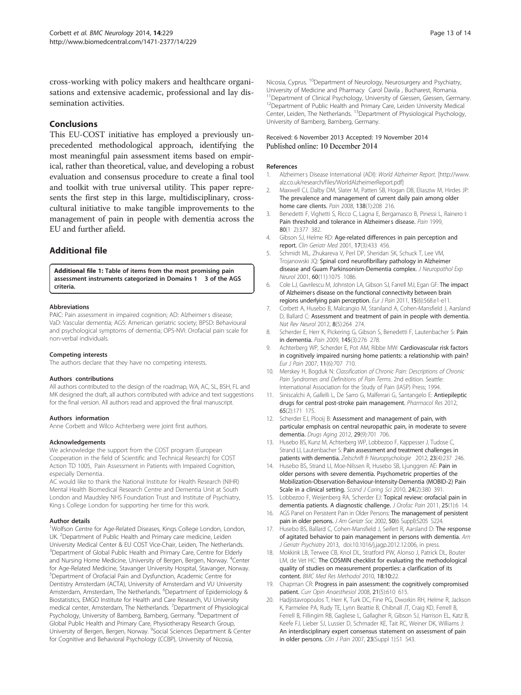<span id="page-12-0"></span>cross-working with policy makers and healthcare organisations and extensive academic, professional and lay dissemination activities.

## Conclusions

This EU-COST initiative has employed a previously unprecedented methodological approach, identifying the most meaningful pain assessment items based on empirical, rather than theoretical, value, and developing a robust evaluation and consensus procedure to create a final tool and toolkit with true universal utility. This paper represents the first step in this large, multidisciplinary, crosscultural initiative to make tangible improvements to the management of pain in people with dementia across the EU and further afield.

## Additional file

[Additional file 1:](http://www.biomedcentral.com/content/supplementary/s12883-014-0229-5-s1.docx) Table of items from the most promising pain assessment instruments categorized in Domains 1 3 of the AGS criteria.

#### Abbreviations

PAIC: Pain assessment in impaired cognition; AD: Alzheimers disease; VaD: Vascular dementia; AGS: American geriatric society; BPSD: Behavioural and psychological symptoms of dementia; OPS-NVI: Orofacial pain scale for non-verbal individuals.

#### Competing interests

The authors declare that they have no competing interests.

#### Authors contributions

All authors contributed to the design of the roadmap, WA, AC, SL, BSH, FL and MK designed the draft, all authors contributed with advice and text suggestions for the final version. All authors read and approved the final manuscript.

#### Authors information

Anne Corbett and Wilco Achterberg were joint first authors.

#### Acknowledgements

We acknowledge the support from the COST program (European Cooperation in the field of Scientific and Technical Research) for COST Action TD 1005, Pain Assessment in Patients with Impaired Cognition, especially Dementia .

AC would like to thank the National Institute for Health Research (NIHR) Mental Health Biomedical Research Centre and Dementia Unit at South London and Maudsley NHS Foundation Trust and Institute of Psychiatry, King s College London for supporting her time for this work.

#### Author details

<sup>1</sup>Wolfson Centre for Age-Related Diseases, Kings College London, London, UK. <sup>2</sup>Department of Public Health and Primary care medicine, Leiden University Medical Center & EU COST Vice-Chair, Leiden, The Netherlands. <sup>3</sup>Department of Global Public Health and Primary Care, Centre for Elderly and Nursing Home Medicine, University of Bergen, Bergen, Norway. <sup>4</sup>Center for Age-Related Medicine, Stavanger University Hospital, Stavanger, Norway. 5 Department of Orofacial Pain and Dysfunction, Academic Centre for Dentistry Amsterdam (ACTA), University of Amsterdam and VU University Amsterdam, Amsterdam, The Netherlands. <sup>6</sup>Department of Epidemiology & Biostatistics, EMGO Institute for Health and Care Research, VU University medical center, Amsterdam, The Netherlands. <sup>7</sup>Department of Physiological Psychology, University of Bamberg, Bamberg, Germany. <sup>8</sup>Department of Global Public Health and Primary Care, Physiotherapy Research Group, University of Bergen, Bergen, Norway. <sup>9</sup>Social Sciences Department & Center for Cognitive and Behavioral Psychology (CCBP), University of Nicosia,

Nicosia, Cyprus. <sup>10</sup>Department of Neurology, Neurosurgery and Psychiatry,<br>University of Medicine and Pharmacy Carol Davila , Bucharest, Romania. <sup>1</sup>Department of Clinical Psychology, University of Giessen, Giessen, Germany. <sup>12</sup>Department of Public Health and Primary Care, Leiden University Medical Center, Leiden, The Netherlands. 13Department of Physiological Psychology, University of Bamberg, Bamberg, Germany.

#### Received: 6 November 2013 Accepted: 19 November 2014 Published online: 10 December 2014

#### References

- 1. Alzheimers Disease International (ADI): World Alzheimer Report. [[http://www.](http://www.alz.co.uk/research/files/WorldAlzheimerReport.pdf) [alz.co.uk/research/files/WorldAlzheimerReport.pdf\]](http://www.alz.co.uk/research/files/WorldAlzheimerReport.pdf)
- 2. Maxwell CJ, Dalby DM, Slater M, Patten SB, Hogan DB, Eliasziw M, Hirdes JP: The prevalence and management of current daily pain among older home care clients. Pain 2008, 138(1):208 216.
- 3. Benedetti F, Vighetti S, Ricco C, Lagna E, Bergamasco B, Pinessi L, Rainero I: Pain threshold and tolerance in Alzheimers disease. Pain 1999, 80(1 2):377 382.
- 4. Gibson SJ, Helme RD: Age-related differences in pain perception and report. Clin Geriatr Med 2001, 17(3):433 456.
- 5. Schmidt ML, Zhukareva V, Perl DP, Sheridan SK, Schuck T, Lee VM, Trojanowski JQ: Spinal cord neurofibrillary pathology in Alzheimer disease and Guam Parkinsonism-Dementia complex. J Neuropathol Exp Neurol 2001, 60(11):1075 1086.
- 6. Cole LJ, Gavrilescu M, Johnston LA, Gibson SJ, Farrell MJ, Egan GF: The impact of Alzheimers disease on the functional connectivity between brain regions underlying pain perception. Eur J Pain 2011, 15(6):568.e1-e11.
- 7. Corbett A, Husebo B, Malcangio M, Staniland A, Cohen-Mansfield J, Aarsland D, Ballard C: Assessment and treatment of pain in people with dementia. Nat Rev Neurol 2012, 8(5):264 274.
- 8. Scherder E, Herr K, Pickering G, Gibson S, Benedetti F, Lautenbacher S: Pain in dementia. Pain 2009, 145(3):276 278.
- Achterberg WP, Scherder E, Pot AM, Ribbe MW: Cardiovascular risk factors in cognitively impaired nursing home patients: a relationship with pain? Eur J Pain 2007, 11(6):707 710.
- 10. Merskey H, Bogduk N: Classification of Chronic Pain: Descriptions of Chronic Pain Syndromes and Definitions of Pain Terms. 2nd edition. Seattle: International Association for the Study of Pain (IASP) Press; 1994.
- 11. Siniscalchi A, Gallelli L, De Sarro G, Malferrari G, Santangelo E: Antiepileptic drugs for central post-stroke pain management. Pharmacol Res 2012, 65(2):171 175.
- 12. Scherder EJ, Plooij B: Assessment and management of pain, with particular emphasis on central neuropathic pain, in moderate to severe dementia. Drugs Aging 2012, 29(9):701 706.
- 13. Husebo BS, Kunz M, Achterberg WP, Lobbezoo F, Kappesser J, Tudose C, Strand LLI autenbacher S: Pain assessment and treatment challenges in patients with dementia. Zeitschrift fr Neuropsychologie 2012, 23(4):237 246.
- 14. Husebo BS, Strand LI, Moe-Nilssen R, Husebo SB, Ljunggren AE: Pain in older persons with severe dementia. Psychometric properties of the Mobilization-Observation-Behaviour-Intensity-Dementia (MOBID-2) Pain Scale in a clinical setting. Scand J Caring Sci 2010, 24(2):380 391
- 15. Lobbezoo F, Weijenberg RA, Scherder EJ: Topical review: orofacial pain in dementia patients. A diagnostic challenge. J Orofac Pain 2011, 25(1):6 14.
- 16. AGS Panel on Persistent Pain in Older Persons: The management of persistent pain in older persons. J Am Geriatr Soc 2002, 50(6 Suppl):S205 S224.
- 17. Husebo BS, Ballard C, Cohen-Mansfield J, Seifert R, Aarsland D: The response of agitated behavior to pain management in persons with dementia.  $Am$ J Geriatr Psychiatry 2013, doi:10.1016/j.jagp.2012.12.006, in press.
- 18. Mokkink LB, Terwee CB, Knol DL, Stratford PW, Alonso J, Patrick DL, Bouter LM, de Vet HC: The COSMIN checklist for evaluating the methodological quality of studies on measurement properties: a clarification of its content. BMC Med Res Methodol 2010, 18:10:22.
- 19. Chapman CR: Progress in pain assessment: the cognitively compromised patient. Curr Opin Anaesthesiol 2008, 21(5):610 615
- 20. Hadjistavropoulos T, Herr K, Turk DC, Fine PG, Dworkin RH, Helme R, Jackson K, Parmelee PA, Rudy TE, Lynn Beattie B, Chibnall JT, Craig KD, Ferrell B, Ferrell B, Fillingim RB, Gagliese L, Gallagher R, Gibson SJ, Harrison EL, Katz B, Keefe FJ, Lieber SJ, Lussier D, Schmader KE, Tait RC, Weiner DK, Williams J: An interdisciplinary expert consensus statement on assessment of pain in older persons. Clin J Pain 2007, 23(Suppl 1):S1 S43.